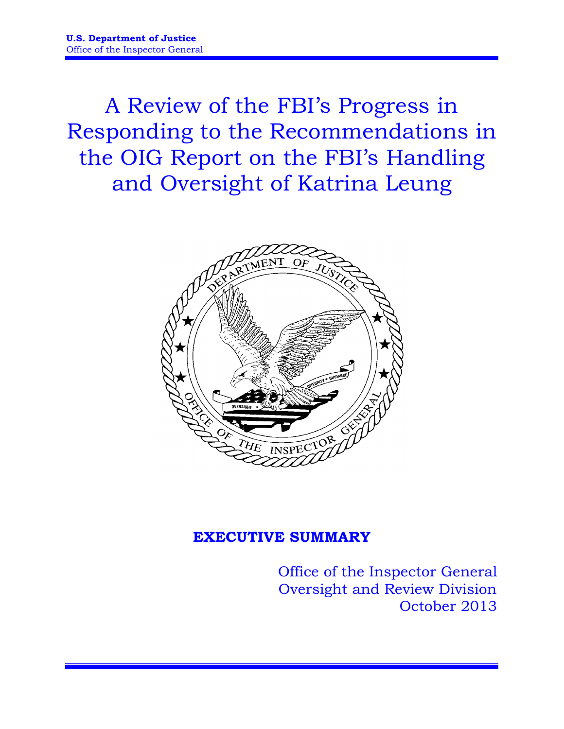A Review of the FBI's Progress in Responding to the Recommendations in the OIG Report on the FBI's Handling and Oversight of Katrina Leung



# **EXECUTIVE SUMMARY**

Office of the Inspector General Oversight and Review Division October 2013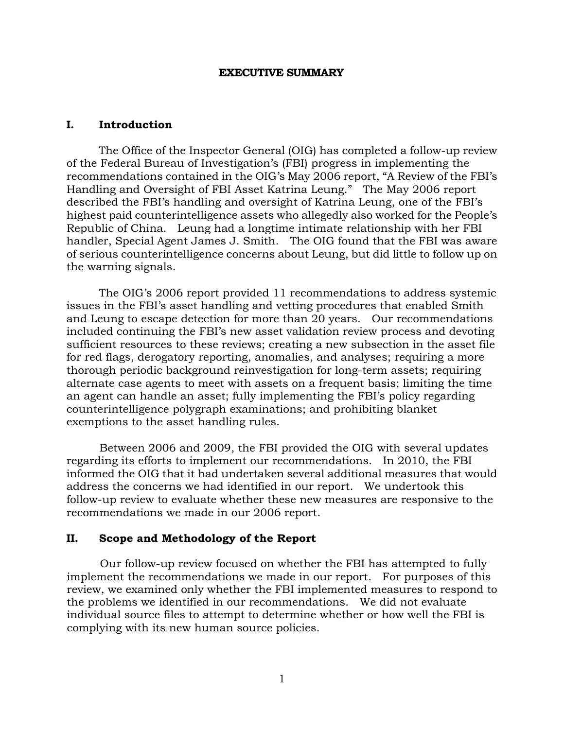### **EXECUTIVE SUMMARY**

### **I. Introduction**

The Office of the Inspector General (OIG) has completed a follow-up review of the Federal Bureau of Investigation's (FBI) progress in implementing the recommendations contained in the OIG's May 2006 report, "A Review of the FBI's Handling and Oversight of FBI Asset Katrina Leung." The May 2006 report described the FBI's handling and oversight of Katrina Leung, one of the FBI's highest paid counterintelligence assets who allegedly also worked for the People's Republic of China. Leung had a longtime intimate relationship with her FBI handler, Special Agent James J. Smith. The OIG found that the FBI was aware of serious counterintelligence concerns about Leung, but did little to follow up on the warning signals.

The OIG's 2006 report provided 11 recommendations to address systemic issues in the FBI's asset handling and vetting procedures that enabled Smith and Leung to escape detection for more than 20 years. Our recommendations included continuing the FBI's new asset validation review process and devoting sufficient resources to these reviews; creating a new subsection in the asset file for red flags, derogatory reporting, anomalies, and analyses; requiring a more thorough periodic background reinvestigation for long-term assets; requiring alternate case agents to meet with assets on a frequent basis; limiting the time an agent can handle an asset; fully implementing the FBI's policy regarding counterintelligence polygraph examinations; and prohibiting blanket exemptions to the asset handling rules.

Between 2006 and 2009, the FBI provided the OIG with several updates regarding its efforts to implement our recommendations. In 2010, the FBI informed the OIG that it had undertaken several additional measures that would address the concerns we had identified in our report. We undertook this follow-up review to evaluate whether these new measures are responsive to the recommendations we made in our 2006 report.

# **II. Scope and Methodology of the Report**

Our follow-up review focused on whether the FBI has attempted to fully implement the recommendations we made in our report. For purposes of this review, we examined only whether the FBI implemented measures to respond to the problems we identified in our recommendations. We did not evaluate individual source files to attempt to determine whether or how well the FBI is complying with its new human source policies.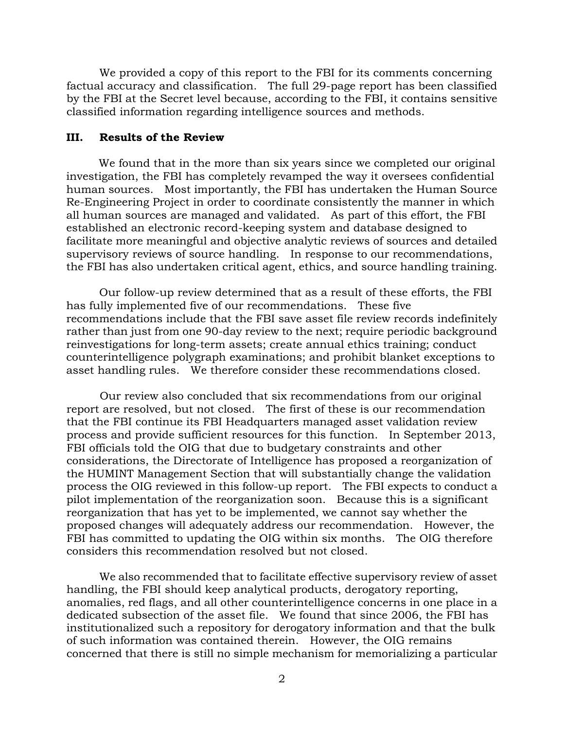We provided a copy of this report to the FBI for its comments concerning factual accuracy and classification. The full 29-page report has been classified by the FBI at the Secret level because, according to the FBI, it contains sensitive classified information regarding intelligence sources and methods.

## **III. Results of the Review**

We found that in the more than six years since we completed our original investigation, the FBI has completely revamped the way it oversees confidential human sources. Most importantly, the FBI has undertaken the Human Source Re-Engineering Project in order to coordinate consistently the manner in which all human sources are managed and validated. As part of this effort, the FBI established an electronic record-keeping system and database designed to facilitate more meaningful and objective analytic reviews of sources and detailed supervisory reviews of source handling. In response to our recommendations, the FBI has also undertaken critical agent, ethics, and source handling training.

Our follow-up review determined that as a result of these efforts, the FBI has fully implemented five of our recommendations. These five recommendations include that the FBI save asset file review records indefinitely rather than just from one 90-day review to the next; require periodic background reinvestigations for long-term assets; create annual ethics training; conduct counterintelligence polygraph examinations; and prohibit blanket exceptions to asset handling rules. We therefore consider these recommendations closed.

Our review also concluded that six recommendations from our original report are resolved, but not closed. The first of these is our recommendation that the FBI continue its FBI Headquarters managed asset validation review process and provide sufficient resources for this function. In September 2013, FBI officials told the OIG that due to budgetary constraints and other considerations, the Directorate of Intelligence has proposed a reorganization of the HUMINT Management Section that will substantially change the validation process the OIG reviewed in this follow-up report. The FBI expects to conduct a pilot implementation of the reorganization soon. Because this is a significant reorganization that has yet to be implemented, we cannot say whether the proposed changes will adequately address our recommendation. However, the FBI has committed to updating the OIG within six months. The OIG therefore considers this recommendation resolved but not closed.

We also recommended that to facilitate effective supervisory review of asset handling, the FBI should keep analytical products, derogatory reporting, anomalies, red flags, and all other counterintelligence concerns in one place in a dedicated subsection of the asset file. We found that since 2006, the FBI has institutionalized such a repository for derogatory information and that the bulk of such information was contained therein. However, the OIG remains concerned that there is still no simple mechanism for memorializing a particular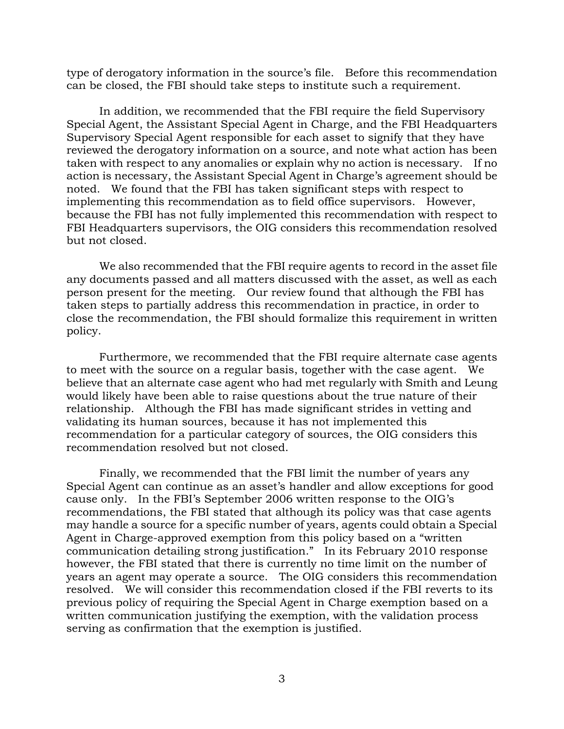type of derogatory information in the source's file. Before this recommendation can be closed, the FBI should take steps to institute such a requirement.

In addition, we recommended that the FBI require the field Supervisory Special Agent, the Assistant Special Agent in Charge, and the FBI Headquarters Supervisory Special Agent responsible for each asset to signify that they have reviewed the derogatory information on a source, and note what action has been taken with respect to any anomalies or explain why no action is necessary. If no action is necessary, the Assistant Special Agent in Charge's agreement should be noted. We found that the FBI has taken significant steps with respect to implementing this recommendation as to field office supervisors. However, because the FBI has not fully implemented this recommendation with respect to FBI Headquarters supervisors, the OIG considers this recommendation resolved but not closed.

We also recommended that the FBI require agents to record in the asset file any documents passed and all matters discussed with the asset, as well as each person present for the meeting. Our review found that although the FBI has taken steps to partially address this recommendation in practice, in order to close the recommendation, the FBI should formalize this requirement in written policy.

Furthermore, we recommended that the FBI require alternate case agents to meet with the source on a regular basis, together with the case agent. We believe that an alternate case agent who had met regularly with Smith and Leung would likely have been able to raise questions about the true nature of their relationship. Although the FBI has made significant strides in vetting and validating its human sources, because it has not implemented this recommendation for a particular category of sources, the OIG considers this recommendation resolved but not closed.

Finally, we recommended that the FBI limit the number of years any Special Agent can continue as an asset's handler and allow exceptions for good cause only. In the FBI's September 2006 written response to the OIG's recommendations, the FBI stated that although its policy was that case agents may handle a source for a specific number of years, agents could obtain a Special Agent in Charge-approved exemption from this policy based on a "written communication detailing strong justification." In its February 2010 response however, the FBI stated that there is currently no time limit on the number of years an agent may operate a source. The OIG considers this recommendation resolved. We will consider this recommendation closed if the FBI reverts to its previous policy of requiring the Special Agent in Charge exemption based on a written communication justifying the exemption, with the validation process serving as confirmation that the exemption is justified.